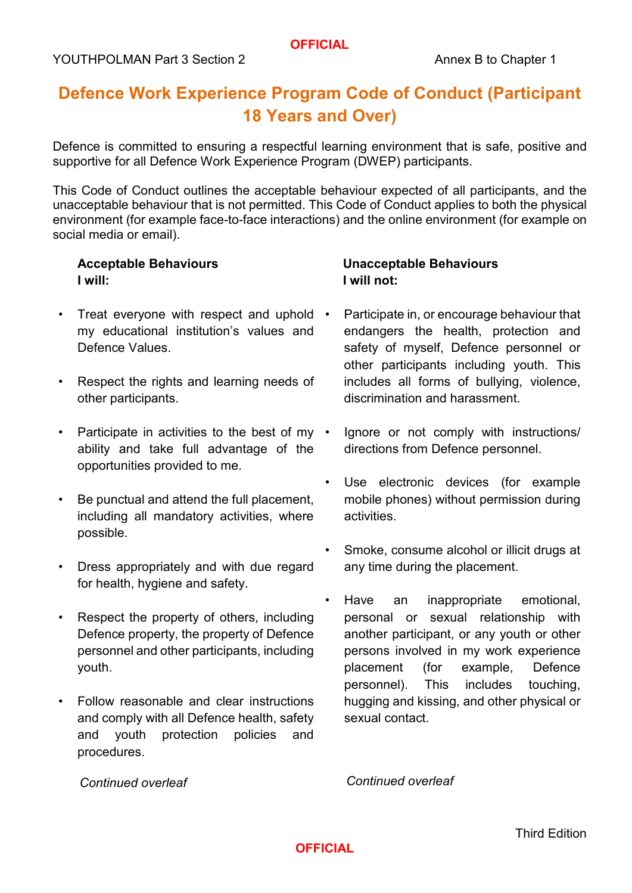# **Defence Work Experience Program Code of Conduct (Participant 18 Years and Over)**

Defence is committed to ensuring a respectful learning environment that is safe, positive and supportive for all Defence Work Experience Program (DWEP) participants.

This Code of Conduct outlines the acceptable behaviour expected of all participants, and the unacceptable behaviour that is not permitted. This Code of Conduct applies to both the physical environment (for example face-to-face interactions) and the online environment (for example on social media or email).

#### **Acceptable Behaviours I will:**

- Treat everyone with respect and uphold my educational institution's values and Defence Values.
- Respect the rights and learning needs of other participants.
- Participate in activities to the best of my ability and take full advantage of the opportunities provided to me.
- Be punctual and attend the full placement, including all mandatory activities, where possible.
- Dress appropriately and with due regard for health, hygiene and safety.
- Respect the property of others, including Defence property, the property of Defence personnel and other participants, including youth.
- Follow reasonable and clear instructions and comply with all Defence health, safety and youth protection policies and procedures.

#### **Unacceptable Behaviours I will not:**

- Participate in, or encourage behaviour that endangers the health, protection and safety of myself, Defence personnel or other participants including youth. This includes all forms of bullying, violence, discrimination and harassment.
- Ignore or not comply with instructions/ directions from Defence personnel.
- Use electronic devices (for example mobile phones) without permission during activities.
- Smoke, consume alcohol or illicit drugs at any time during the placement.
- Have an inappropriate emotional, personal or sexual relationship with another participant, or any youth or other persons involved in my work experience placement (for example, Defence personnel). This includes touching, hugging and kissing, and other physical or sexual contact.

*Continued overleaf*

*Continued overleaf*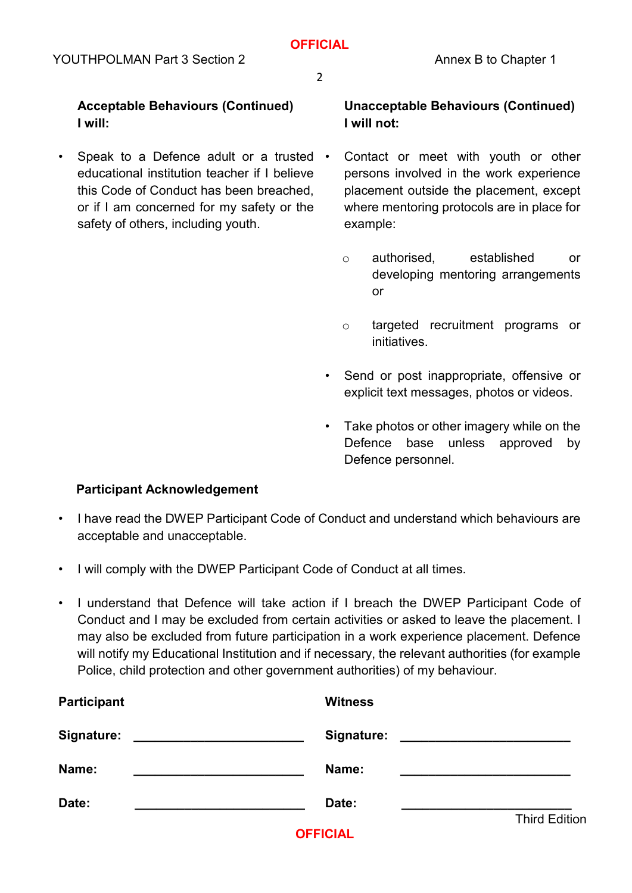2

**Acceptable Behaviours (Continued) I will:** 

• Speak to a Defence adult or a trusted • educational institution teacher if I believe this Code of Conduct has been breached, or if I am concerned for my safety or the safety of others, including youth.

### **Unacceptable Behaviours (Continued) I will not:**

- Contact or meet with youth or other persons involved in the work experience placement outside the placement, except where mentoring protocols are in place for example:
	- o authorised, established or developing mentoring arrangements or
	- o targeted recruitment programs or initiatives.
- Send or post inappropriate, offensive or explicit text messages, photos or videos.
- Take photos or other imagery while on the Defence base unless approved by Defence personnel.

#### **Participant Acknowledgement**

- I have read the DWEP Participant Code of Conduct and understand which behaviours are acceptable and unacceptable.
- I will comply with the DWEP Participant Code of Conduct at all times.
- I understand that Defence will take action if I breach the DWEP Participant Code of Conduct and I may be excluded from certain activities or asked to leave the placement. I may also be excluded from future participation in a work experience placement. Defence will notify my Educational Institution and if necessary, the relevant authorities (for example Police, child protection and other government authorities) of my behaviour.

| <b>Participant</b>                                                                                                                        | <b>Witness</b> |                      |
|-------------------------------------------------------------------------------------------------------------------------------------------|----------------|----------------------|
| Signature:<br><u> 1980 - Andrea Barbara, mandat a shekara tshekara tshekara tshekara tshekara tshekara tshekara tshekara tshekara tsh</u> | Signature:     |                      |
| Name:<br>the control of the control of the control of the control of the control of the control of                                        | Name:          |                      |
| Date:                                                                                                                                     | Date:          |                      |
|                                                                                                                                           | --------       | <b>Third Edition</b> |

**OFFICIAL**